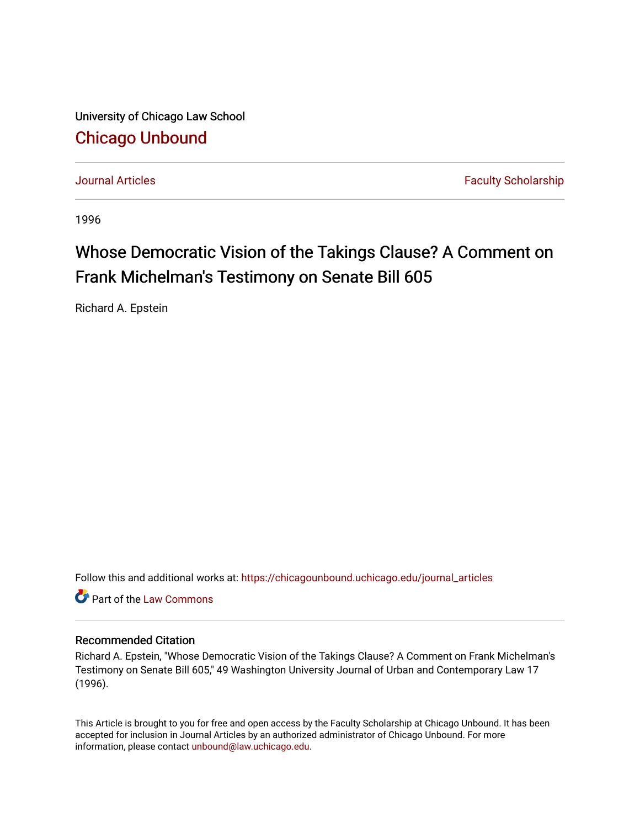University of Chicago Law School [Chicago Unbound](https://chicagounbound.uchicago.edu/)

[Journal Articles](https://chicagounbound.uchicago.edu/journal_articles) **Faculty Scholarship Journal Articles** 

1996

## Whose Democratic Vision of the Takings Clause? A Comment on Frank Michelman's Testimony on Senate Bill 605

Richard A. Epstein

Follow this and additional works at: [https://chicagounbound.uchicago.edu/journal\\_articles](https://chicagounbound.uchicago.edu/journal_articles?utm_source=chicagounbound.uchicago.edu%2Fjournal_articles%2F1385&utm_medium=PDF&utm_campaign=PDFCoverPages) 

**C** Part of the [Law Commons](http://network.bepress.com/hgg/discipline/578?utm_source=chicagounbound.uchicago.edu%2Fjournal_articles%2F1385&utm_medium=PDF&utm_campaign=PDFCoverPages)

## Recommended Citation

Richard A. Epstein, "Whose Democratic Vision of the Takings Clause? A Comment on Frank Michelman's Testimony on Senate Bill 605," 49 Washington University Journal of Urban and Contemporary Law 17 (1996).

This Article is brought to you for free and open access by the Faculty Scholarship at Chicago Unbound. It has been accepted for inclusion in Journal Articles by an authorized administrator of Chicago Unbound. For more information, please contact [unbound@law.uchicago.edu](mailto:unbound@law.uchicago.edu).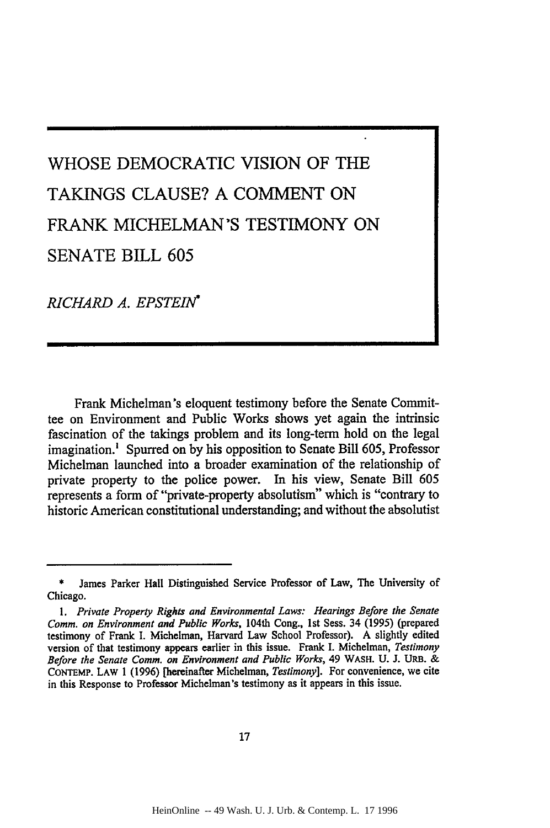## WHOSE DEMOCRATIC VISION OF THE **TAKINGS CLAUSE? A COMMENT ON** FRANK **MICHELMAN'S** TESTIMONY **ON SENATE** BILL **605**

*RICHARD A. EPSTEIN\**

Frank Michelman's eloquent testimony before the Senate Committee on Environment and Public Works shows yet again the intrinsic fascination of the takings problem and its long-term hold on the legal imagination.' Spurred on by his opposition to Senate Bill 605, Professor Michelman launched into a broader examination of the relationship of private property to the police power. In his view, Senate Bill **605** represents a form of "private-property absolutism" which is "contrary to historic American constitutional understanding; and without the absolutist

James Parker Hall Distinguished Service Professor of Law, The University of Chicago.

*<sup>1.</sup> Private Property Rights and Environmental Laws: Hearings Before the Senate Comm. on Environment and Public Works,* 104th Cong., 1st Sess. 34 **(1995)** (prepared testimony of Frank I. Michelman, Harvard Law School Professor). A slightly edited version of that testimony appears earlier in this issue. Frank I. Michelman, *Testimony Before the Senate Comm. on Environment and Public Works,* 49 WASH. U. J. URB. & CoNTEMP. LAW 1 **(1996)** [hereinafter Michelman, *Testimony].* For convenience, we cite in this Response to Professor Michelman's testimony as it appears in this issue.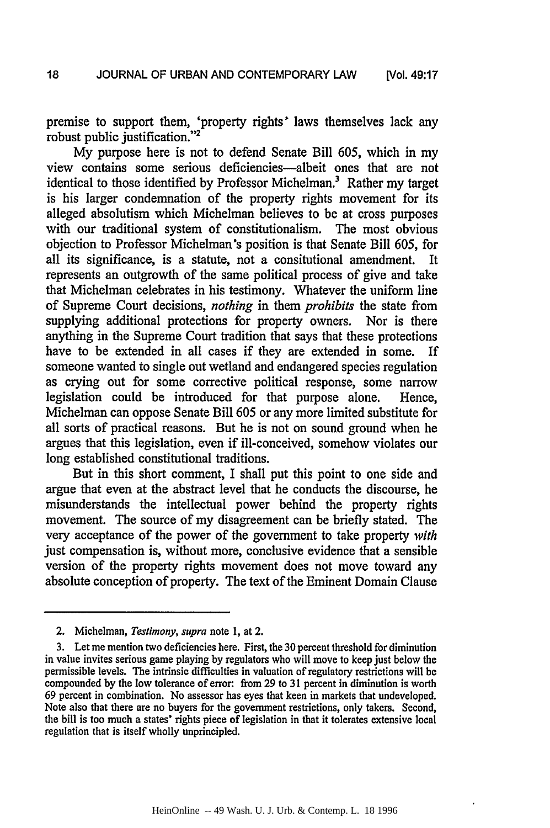premise to support them, 'property rights' laws themselves lack any robust public justification."<sup>2</sup>

My purpose here is not to defend Senate Bill 605, which in my view contains some serious deficiencies-albeit ones that are not identical to those identified by Professor Michelman.<sup>3</sup> Rather my target is his larger condemnation of the property rights movement for its alleged absolutism which Michelman believes to be at cross purposes with our traditional system of constitutionalism. The most obvious objection to Professor Michelman's position is that Senate Bill 605, for all its significance, is a statute, not a consitutional amendment. It represents an outgrowth of the same political process of give and take that Michelman celebrates in his testimony. Whatever the uniform line of Supreme Court decisions, *nothing* in them *prohibits* the state from supplying additional protections for property owners. Nor is there anything in the Supreme Court tradition that says that these protections have to be extended in all cases if they are extended in some. If someone wanted to single out wetland and endangered species regulation as crying out for some corrective political response, some narrow legislation could be introduced for that purpose alone. Hence, Michelman can oppose Senate Bill 605 or any more limited substitute for all sorts of practical reasons. But he is not on sound ground when he argues that this legislation, even if ill-conceived, somehow violates our long established constitutional traditions.

But in this short comment, I shall put this point to one side and argue that even at the abstract level that he conducts the discourse, he misunderstands the intellectual power behind the property rights movement. The source of my disagreement can be briefly stated. The very acceptance of the power of the government to take property *with* just compensation is, without more, conclusive evidence that a sensible version of the property rights movement does not move toward any absolute conception of property. The text of the Eminent Domain Clause

<sup>2.</sup> Michelman, *Testimony, supra* note **1,** at 2.

<sup>3.</sup> Let me mention two deficiencies here. First, the 30 percent threshold for diminution in value invites serious game playing by regulators who will move to keep just below the permissible levels. The intrinsic difficulties in valuation of regulatory restrictions will be compounded by the low tolerance of error: from 29 to 31 percent in diminution is worth 69 percent in combination. No assessor has eyes that keen in markets that undeveloped. Note also that there are no buyers for the government restrictions, only takers. Second, the bill is too much a states' rights piece of legislation in that it tolerates extensive local regulation that is itself wholly unprincipled.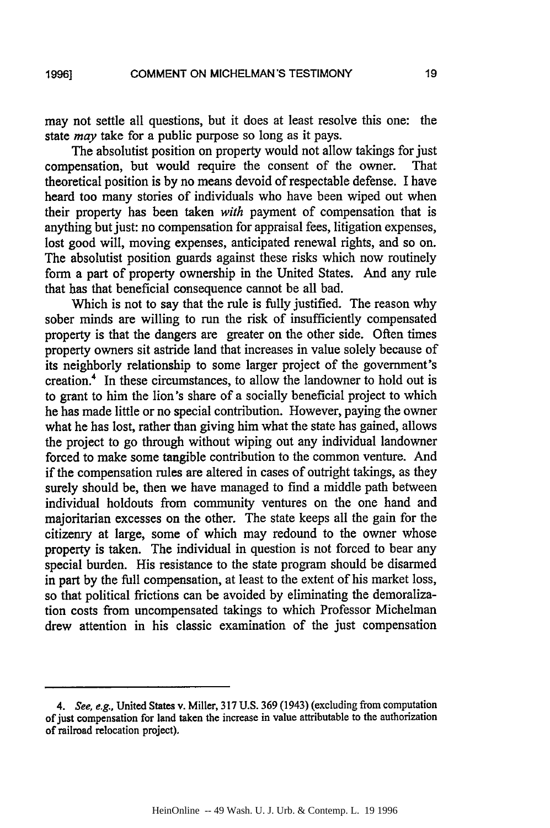**1996]**

may not settle all questions, but it does at least resolve this one: the state *may* take for a public purpose so long as it pays.

The absolutist position on property would not allow takings for just compensation, but would require the consent of the owner. That theoretical position is by no means devoid of respectable defense. I have heard too many stories of individuals who have been wiped out when their property has been taken *with* payment of compensation that is anything but just: no compensation for appraisal fees, litigation expenses, lost good will, moving expenses, anticipated renewal rights, and so on. The absolutist position guards against these risks which now routinely form a part of property ownership in the United States. And any rule that has that beneficial consequence cannot be all bad.

Which is not to say that the rule is fully justified. The reason why sober minds are willing to run the risk of insufficiently compensated property is that the dangers are greater on the other side. Often times property owners sit astride land that increases in value solely because of its neighborly relationship to some larger project of the government's creation.4 In these circumstances, to allow the landowner to hold out is to grant to him the lion's share of a socially beneficial project to which he has made little or no special contribution. However, paying the owner what he has lost, rather than giving him what the state has gained, allows the project to go through without wiping out any individual landowner forced to make some tangible contribution to the common venture. And if the compensation rules are altered in cases of outright takings, as they surely should be, then we have managed to find a middle path between individual holdouts from community ventures on the one hand and majoritarian excesses on the other. The state keeps all the gain for the citizenry at large, some of which may redound to the owner whose property is taken. The individual in question is not forced to bear any special burden. His resistance to the state program should be disarmed in part by the full compensation, at least to the extent of his market loss, so that political frictions can be avoided by eliminating the demoralization costs from uncompensated takings to which Professor Michelman drew attention in his classic examination of the just compensation

**<sup>4.</sup>** See, e.g., United States v. Miller, 317 U.S. 369 (1943) (excluding from computation of just compensation for land taken the increase in value attributable to the authorization of railroad relocation project).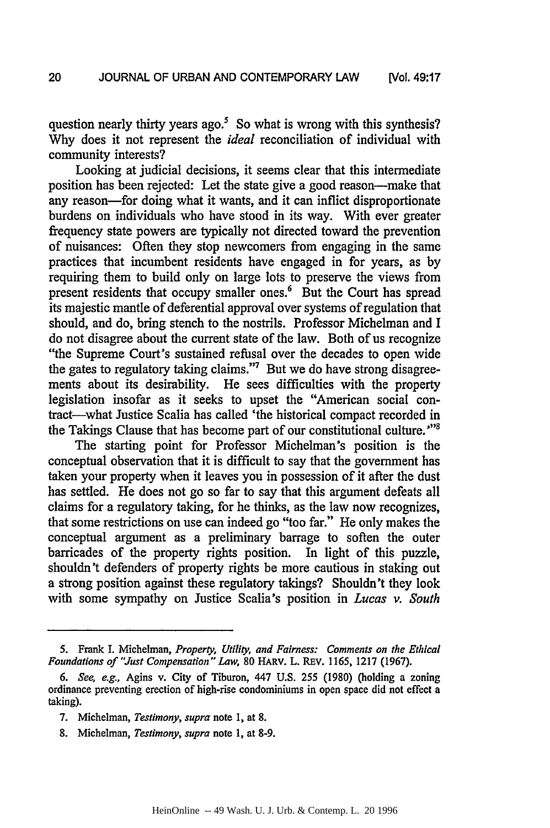question nearly thirty years ago.<sup>5</sup> So what is wrong with this synthesis? Why does it not represent the *ideal* reconciliation of individual with community interests?

Looking at judicial decisions, it seems clear that this intermediate position has been rejected: Let the state give a good reason-make that any reason-for doing what it wants, and it can inflict disproportionate burdens on individuals who have stood in its way. With ever greater frequency state powers are typically not directed toward the prevention of nuisances: Often they stop newcomers from engaging in the same practices that incumbent residents have engaged in for years, as by requiring them to build only on large lots to preserve the views from present residents that occupy smaller ones.' But the Court has spread its majestic mantle of deferential approval over systems of regulation that should, and do, bring stench to the nostrils. Professor Michelman and I do not disagree about the current state of the law. Both of us recognize "the Supreme Court's sustained refusal over the decades to open wide the gates to regulatory taking claims."7 But we do have strong disagreements about its desirability. He sees difficulties with the property legislation insofar as it seeks to upset the "American social contract-what Justice Scalia has called 'the historical compact recorded in the Takings Clause that has become part of our constitutional culture. **""**

The starting point for Professor Michelman's position is the conceptual observation that it is difficult to say that the government has taken your property when it leaves you in possession of it after the dust has settled. He does not go so far to say that this argument defeats all claims for a regulatory taking, for he thinks, as the law now recognizes, that some restrictions on use can indeed go "too far." He only makes the conceptual argument as a preliminary barrage to soften the outer barricades of the property rights position. In light of this puzzle, shouldn't defenders of property rights be more cautious in staking out a strong position against these regulatory takings? Shouldn't they look with some sympathy on Justice Scalia's position in *Lucas v. South*

**<sup>5.</sup>** Frank **I.** Michelman, *Property, Utility, and Fairness: Comments on the Ethical Foundations of "Just Compensation" Law,* 80 HARV. L. REv. 1165, 1217 (1967).

*<sup>6.</sup> See, e.g.,* Agins v. City of Tiburon, 447 U.S. *255* (1980) (holding a zoning ordinance preventing erection of high-rise condominiums in open space did not effect a taking).

<sup>7.</sup> Michelman, *Testimony, supra* note **1,** at 8.

<sup>8.</sup> Michelman, *Testimony, supra* note 1, at 8-9.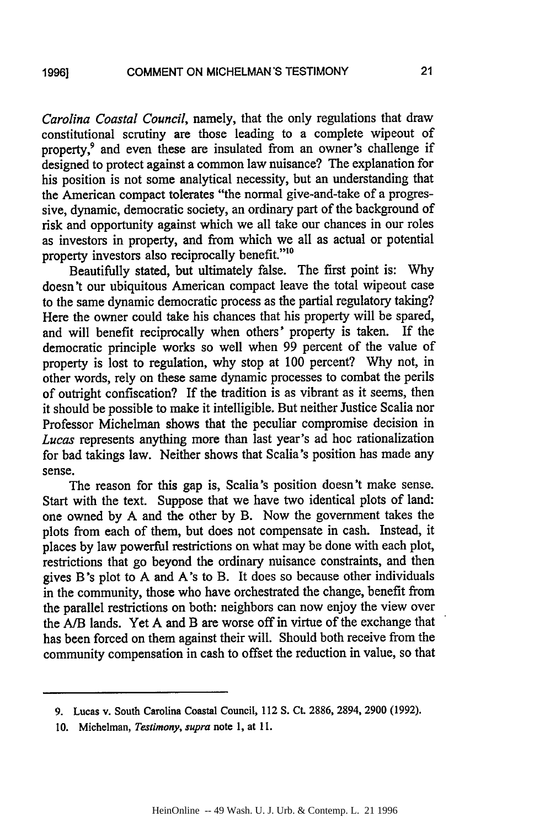**1996]**

*Carolina Coastal Council,* namely, that the only regulations that draw constitutional scrutiny are those leading to a complete wipeout of property,<sup>9</sup> and even these are insulated from an owner's challenge if designed to protect against a common law nuisance? The explanation for his position is not some analytical necessity, but an understanding that the American compact tolerates "the normal give-and-take of a progressive, dynamic, democratic society, an ordinary part of the background of risk and opportunity against which we all take our chances in our roles as investors in property, and from which we all as actual or potential property investors also reciprocally benefit."

Beautifully stated, but ultimately false. The first point is: Why doesn't our ubiquitous American compact leave the total wipeout case to the same dynamic democratic process as the partial regulatory taking? Here the owner could take his chances that his property will be spared, and will benefit reciprocally when others' property is taken. If the democratic principle works so well when 99 percent of the value of property is lost to regulation, why stop at 100 percent? Why not, in other words, rely on these same dynamic processes to combat the perils of outright confiscation? If the tradition is as vibrant as it seems, then it should be possible to make it intelligible. But neither Justice Scalia nor Professor Michelman shows that the peculiar compromise decision in *Lucas* represents anything more than last year's ad hoc rationalization for bad takings law. Neither shows that Scalia's position has made any sense.

The reason for this gap is, Scalia's position doesn't make sense. Start with the text. Suppose that we have two identical plots of land: one owned by A and the other by B. Now the government takes the plots from each of them, but does not compensate in cash. Instead, it places by law powerful restrictions on what may be done with each plot, restrictions that go beyond the ordinary nuisance constraints, and then gives B's plot to A and A's to B. It does so because other individuals in the community, those who have orchestrated the change, benefit from the parallel restrictions on both: neighbors can now enjoy the view over the A/B lands. Yet A and B are worse off in virtue of the exchange that has been forced on them against their will. Should both receive from the community compensation in cash to offset the reduction in value, so that

21

<sup>9.</sup> Lucas v. South Carolina Coastal Council, 112 S. Ct. 2886, 2894, 2900 (1992).

**<sup>10.</sup>** Michelman, *Testimony, supra* note **1,** at **11.**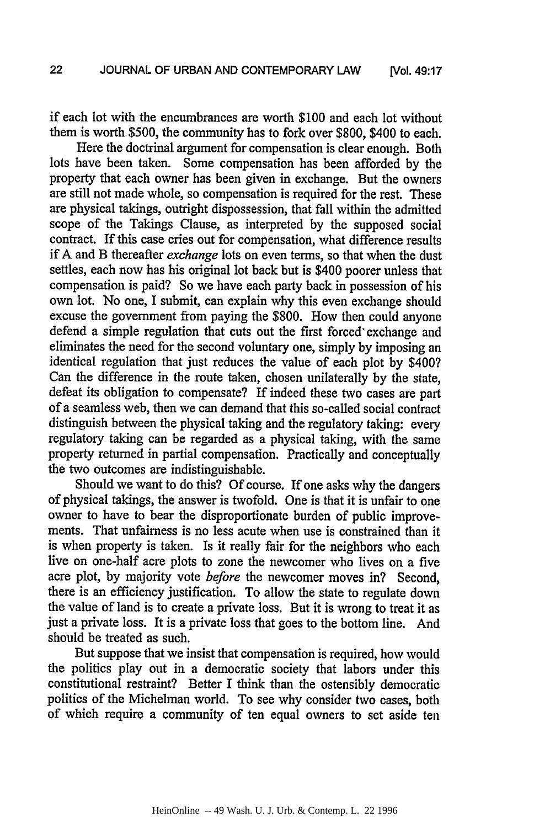if each lot with the encumbrances are worth \$100 and each lot without them is worth \$500, the community has to fork over \$800, \$400 to each.

Here the doctrinal argument for compensation is clear enough. Both lots have been taken. Some compensation has been afforded by the property that each owner has been given in exchange. But the owners are still not made whole, so compensation is required for the rest. These are physical takings, outright dispossession, that fall within the admitted scope of the Takings Clause, as interpreted by the supposed social contract. If this case cries out for compensation, what difference results if A and B thereafter *exchange* lots on even terms, so that when the dust settles, each now has his original lot back but is \$400 poorer unless that compensation is paid? So we have each party back in possession of his own lot. No one, I submit, can explain why this even exchange should excuse the government from paying the \$800. How then could anyone defend a simple regulation that cuts out the first forced' exchange and eliminates the need for the second voluntary one, simply by imposing an identical regulation that just reduces the value of each plot by \$400? Can the difference in the route taken, chosen unilaterally by the state, defeat its obligation to compensate? If indeed these two cases are part of a seamless web, then we can demand that this so-called social contract distinguish between the physical taking and the regulatory taking: every regulatory taking can be regarded as a physical taking, with the same property returned in partial compensation. Practically and conceptually the two outcomes are indistinguishable.

Should we want to do this? Of course. If one asks why the dangers of physical takings, the answer is twofold. One is that it is unfair to one owner to have to bear the disproportionate burden of public improvements. That unfairness is no less acute when use is constrained than it is when property is taken. Is it really fair for the neighbors who each live on one-half acre plots to zone the newcomer who lives on a five acre plot, by majority vote *before* the newcomer moves in? Second, there is an efficiency justification. To allow the state to regulate down the value of land is to create a private loss. But it is wrong to treat it as just a private loss. It is a private loss that goes to the bottom line. And should be treated as such.

But suppose that we insist that compensation is required, how would the politics play out in a democratic society that labors under this constitutional restraint? Better I think than the ostensibly democratic politics of the Michelman world. To see why consider two cases, both of which require a community of ten equal owners to set aside ten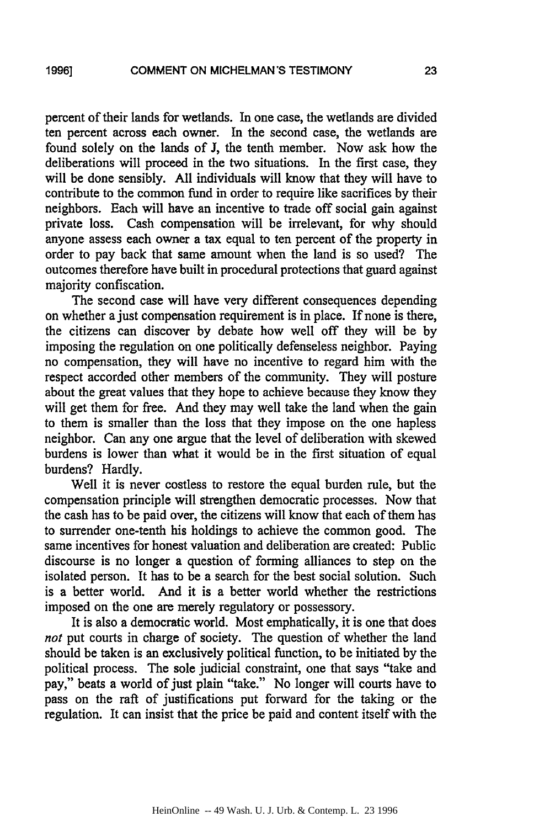**1996]**

percent of their lands for wetlands. In one case, the wetlands are divided ten percent across each owner. In the second case, the wetlands are found solely on the lands of J, the tenth member. Now ask how the deliberations will proceed in the two situations. In the first case, they will be done sensibly. All individuals will know that they will have to contribute to the common fund in order to require like sacrifices by their neighbors. Each will have an incentive to trade off social gain against private loss. Cash compensation will be irrelevant, for why should anyone assess each owner a tax equal to ten percent of the property in order to pay back that same amount when the land is so used? The outcomes therefore have built in procedural protections that guard against majority confiscation.

The second case will have very different consequences depending on whether a just compensation requirement is in place. If none is there, the citizens can discover by debate how well off they will be by imposing the regulation on one politically defenseless neighbor. Paying no compensation, they will have no incentive to regard him with the respect accorded other members of the community. They will posture about the great values that they hope to achieve because they know they will get them for free. And they may well take the land when the gain to them is smaller than the loss that they impose on the one hapless neighbor. Can any one argue that the level of deliberation with skewed burdens is lower than what it would be in the first situation of equal burdens? Hardly.

Well it is never costless to restore the equal burden rule, but the compensation principle will strengthen democratic processes. Now that the cash has to be paid over, the citizens will know that each of them has to surrender one-tenth his holdings to achieve the common good. The same incentives for honest valuation and deliberation are created: Public discourse is no longer a question of forming alliances to step on the isolated person. It has to be a search for the best social solution. Such is a better world. And it is a better world whether the restrictions imposed on the one are merely regulatory or possessory.

It is also a democratic world. Most emphatically, it is one that does *not* put courts in charge of society. The question of whether the land should be taken is an exclusively political function, to be initiated by the political process. The sole judicial constraint, one that says "take and pay," beats a world of just plain "take." No longer will courts have to pass on the raft of justifications put forward for the taking or the regulation. It can insist that the price be paid and content itself with the